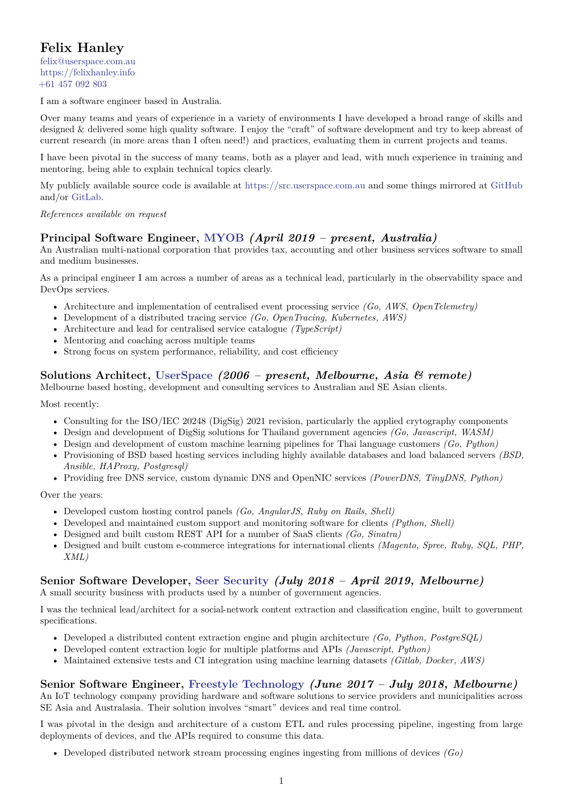# **Felix Hanley**

[felix@userspace.com.au](mailto:felix@userspace.com.au) <https://felixhanley.info> [+61 457 092 803](tel:+61457092803)

I am a software engineer based in Australia.

Over many teams and years of experience in a variety of environments I have developed a broad range of skills and designed & delivered some high quality software. I enjoy the "craft" of software development and try to keep abreast of current research (in more areas than I often need!) and practices, evaluating them in current projects and teams.

I have been pivotal in the success of many teams, both as a player and lead, with much experience in training and mentoring, being able to explain technical topics clearly.

My publicly available source code is available at <https://src.userspace.com.au> and some things mirrored at [GitHub](https://github.com/felix) and/or [GitLab.](https://gitlab.com/felix)

*References available on request*

# **Principal Software Engineer, [MYOB](https://myob.com)** *(April 2019 – present, Australia)*

An Australian multi-national corporation that provides tax, accounting and other business services software to small and medium businesses.

As a principal engineer I am across a number of areas as a technical lead, particularly in the observability space and DevOps services.

- Architecture and implementation of centralised event processing service *(Go, AWS, OpenTelemetry)*
- Development of a distributed tracing service *(Go, OpenTracing, Kubernetes, AWS)*
- Architecture and lead for centralised service catalogue *(TypeScript)*
- Mentoring and coaching across multiple teams
- Strong focus on system performance, reliability, and cost efficiency

# **Solutions Architect, [UserSpace](https://userspace.com.au)** *(2006 – present, Melbourne, Asia & remote)*

Melbourne based hosting, development and consulting services to Australian and SE Asian clients.

Most recently:

- Consulting for the ISO/IEC 20248 (DigSig) 2021 revision, particularly the applied crytography components
- Design and development of DigSig solutions for Thailand government agencies *(Go, Javascript, WASM)*
- Design and development of custom machine learning pipelines for Thai language customers *(Go, Python)*
- Provisioning of BSD based hosting services including highly available databases and load balanced servers *(BSD, Ansible, HAProxy, Postgresql)*
- Providing free DNS service, custom dynamic DNS and OpenNIC services *(PowerDNS, TinyDNS, Python)*

Over the years:

- Developed custom hosting control panels *(Go, AngularJS, Ruby on Rails, Shell)*
- Developed and maintained custom support and monitoring software for clients *(Python, Shell)*
- Designed and built custom REST API for a number of SaaS clients *(Go, Sinatra)*
- Designed and built custom e-commerce integrations for international clients *(Magento, Spree, Ruby, SQL, PHP, XML)*

## **Senior Software Developer, [Seer Security](https://seersec.com.au)** *(July 2018 – April 2019, Melbourne)*

A small security business with products used by a number of government agencies.

I was the technical lead/architect for a social-network content extraction and classification engine, built to government specifications.

- Developed a distributed content extraction engine and plugin architecture *(Go, Python, PostgreSQL)*
- Developed content extraction logic for multiple platforms and APIs *(Javascript, Python)*
- Maintained extensive tests and CI integration using machine learning datasets *(Gitlab, Docker, AWS)*

## **Senior Software Engineer, [Freestyle Technology](https://freestyleiot.com)** *(June 2017 – July 2018, Melbourne)*

An IoT technology company providing hardware and software solutions to service providers and municipalities across SE Asia and Australasia. Their solution involves "smart" devices and real time control.

I was pivotal in the design and architecture of a custom ETL and rules processing pipeline, ingesting from large deployments of devices, and the APIs required to consume this data.

• Developed distributed network stream processing engines ingesting from millions of devices *(Go)*